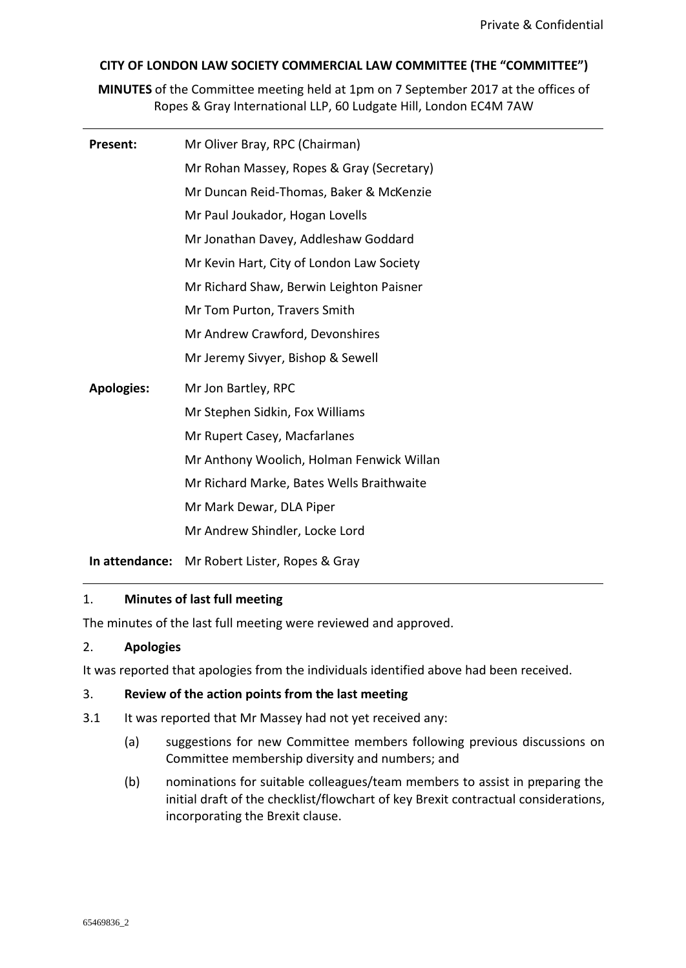# **CITY OF LONDON LAW SOCIETY COMMERCIAL LAW COMMITTEE (THE "COMMITTEE")**

**MINUTES** of the Committee meeting held at 1pm on 7 September 2017 at the offices of Ropes & Gray International LLP, 60 Ludgate Hill, London EC4M 7AW

| Present:          | Mr Oliver Bray, RPC (Chairman)            |
|-------------------|-------------------------------------------|
|                   | Mr Rohan Massey, Ropes & Gray (Secretary) |
|                   | Mr Duncan Reid-Thomas, Baker & McKenzie   |
|                   | Mr Paul Joukador, Hogan Lovells           |
|                   | Mr Jonathan Davey, Addleshaw Goddard      |
|                   | Mr Kevin Hart, City of London Law Society |
|                   | Mr Richard Shaw, Berwin Leighton Paisner  |
|                   | Mr Tom Purton, Travers Smith              |
|                   | Mr Andrew Crawford, Devonshires           |
|                   | Mr Jeremy Sivyer, Bishop & Sewell         |
| <b>Apologies:</b> | Mr Jon Bartley, RPC                       |
|                   | Mr Stephen Sidkin, Fox Williams           |
|                   | Mr Rupert Casey, Macfarlanes              |
|                   | Mr Anthony Woolich, Holman Fenwick Willan |
|                   | Mr Richard Marke, Bates Wells Braithwaite |
|                   | Mr Mark Dewar, DLA Piper                  |
|                   | Mr Andrew Shindler, Locke Lord            |
|                   |                                           |

**In attendance:** Mr Robert Lister, Ropes & Gray

## 1. **Minutes of last full meeting**

The minutes of the last full meeting were reviewed and approved.

## 2. **Apologies**

It was reported that apologies from the individuals identified above had been received.

## 3. **Review of the action points from the last meeting**

- 3.1 It was reported that Mr Massey had not yet received any:
	- (a) suggestions for new Committee members following previous discussions on Committee membership diversity and numbers; and
	- (b) nominations for suitable colleagues/team members to assist in preparing the initial draft of the checklist/flowchart of key Brexit contractual considerations, incorporating the Brexit clause.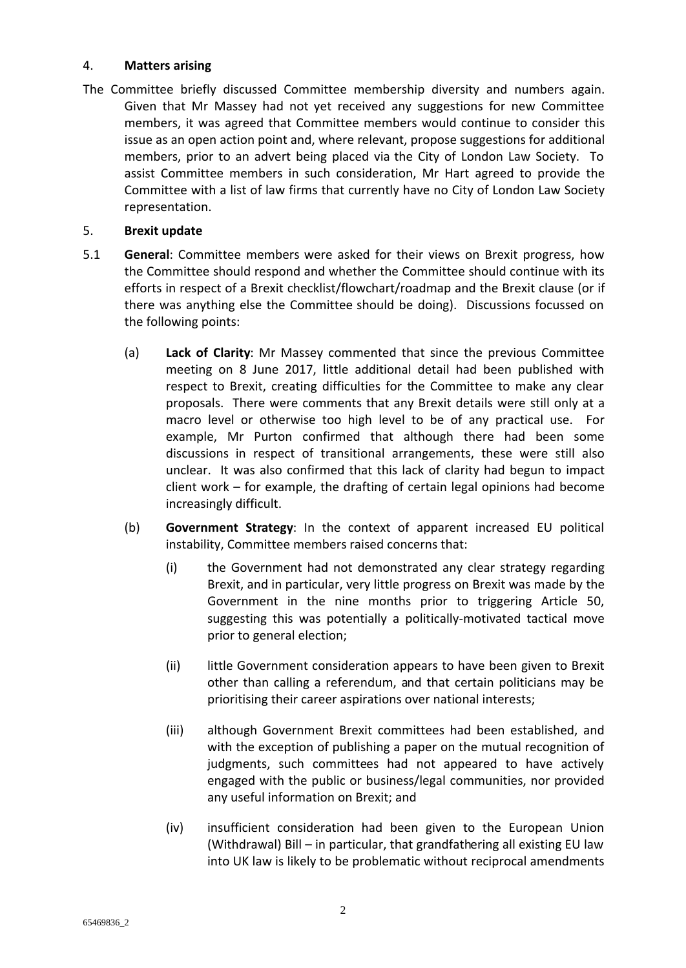## 4. **Matters arising**

The Committee briefly discussed Committee membership diversity and numbers again. Given that Mr Massey had not yet received any suggestions for new Committee members, it was agreed that Committee members would continue to consider this issue as an open action point and, where relevant, propose suggestions for additional members, prior to an advert being placed via the City of London Law Society. To assist Committee members in such consideration, Mr Hart agreed to provide the Committee with a list of law firms that currently have no City of London Law Society representation.

## 5. **Brexit update**

- 5.1 **General**: Committee members were asked for their views on Brexit progress, how the Committee should respond and whether the Committee should continue with its efforts in respect of a Brexit checklist/flowchart/roadmap and the Brexit clause (or if there was anything else the Committee should be doing). Discussions focussed on the following points:
	- (a) **Lack of Clarity**: Mr Massey commented that since the previous Committee meeting on 8 June 2017, little additional detail had been published with respect to Brexit, creating difficulties for the Committee to make any clear proposals. There were comments that any Brexit details were still only at a macro level or otherwise too high level to be of any practical use. For example, Mr Purton confirmed that although there had been some discussions in respect of transitional arrangements, these were still also unclear. It was also confirmed that this lack of clarity had begun to impact client work – for example, the drafting of certain legal opinions had become increasingly difficult.
	- (b) **Government Strategy**: In the context of apparent increased EU political instability, Committee members raised concerns that:
		- (i) the Government had not demonstrated any clear strategy regarding Brexit, and in particular, very little progress on Brexit was made by the Government in the nine months prior to triggering Article 50, suggesting this was potentially a politically-motivated tactical move prior to general election;
		- (ii) little Government consideration appears to have been given to Brexit other than calling a referendum, and that certain politicians may be prioritising their career aspirations over national interests;
		- (iii) although Government Brexit committees had been established, and with the exception of publishing a paper on the mutual recognition of judgments, such committees had not appeared to have actively engaged with the public or business/legal communities, nor provided any useful information on Brexit; and
		- (iv) insufficient consideration had been given to the European Union (Withdrawal) Bill – in particular, that grandfathering all existing EU law into UK law is likely to be problematic without reciprocal amendments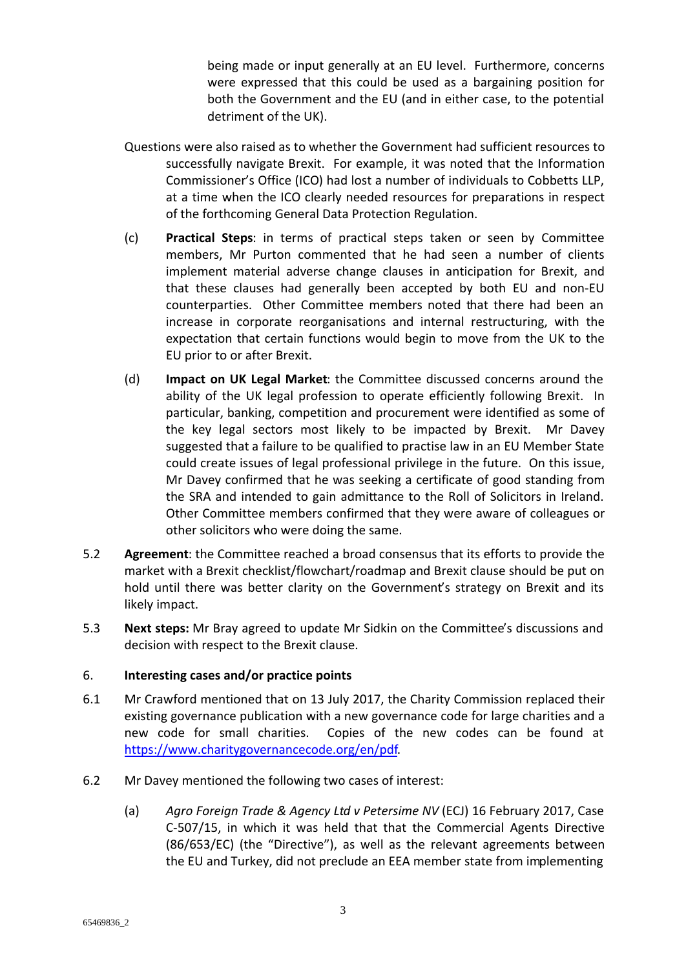being made or input generally at an EU level. Furthermore, concerns were expressed that this could be used as a bargaining position for both the Government and the EU (and in either case, to the potential detriment of the UK).

- Questions were also raised as to whether the Government had sufficient resources to successfully navigate Brexit. For example, it was noted that the Information Commissioner's Office (ICO) had lost a number of individuals to Cobbetts LLP, at a time when the ICO clearly needed resources for preparations in respect of the forthcoming General Data Protection Regulation.
- (c) **Practical Steps**: in terms of practical steps taken or seen by Committee members, Mr Purton commented that he had seen a number of clients implement material adverse change clauses in anticipation for Brexit, and that these clauses had generally been accepted by both EU and non-EU counterparties. Other Committee members noted that there had been an increase in corporate reorganisations and internal restructuring, with the expectation that certain functions would begin to move from the UK to the EU prior to or after Brexit.
- (d) **Impact on UK Legal Market**: the Committee discussed concerns around the ability of the UK legal profession to operate efficiently following Brexit. In particular, banking, competition and procurement were identified as some of the key legal sectors most likely to be impacted by Brexit. Mr Davey suggested that a failure to be qualified to practise law in an EU Member State could create issues of legal professional privilege in the future. On this issue, Mr Davey confirmed that he was seeking a certificate of good standing from the SRA and intended to gain admittance to the Roll of Solicitors in Ireland. Other Committee members confirmed that they were aware of colleagues or other solicitors who were doing the same.
- 5.2 **Agreement**: the Committee reached a broad consensus that its efforts to provide the market with a Brexit checklist/flowchart/roadmap and Brexit clause should be put on hold until there was better clarity on the Government's strategy on Brexit and its likely impact.
- 5.3 **Next steps:** Mr Bray agreed to update Mr Sidkin on the Committee's discussions and decision with respect to the Brexit clause.

## 6. **Interesting cases and/or practice points**

- 6.1 Mr Crawford mentioned that on 13 July 2017, the Charity Commission replaced their existing governance publication with a new governance code for large charities and a new code for small charities.Copies of the new codes can be found at <https://www.charitygovernancecode.org/en/pdf>.
- 6.2 Mr Davey mentioned the following two cases of interest:
	- (a) *Agro Foreign Trade & Agency Ltd v Petersime NV* (ECJ) 16 February 2017, Case C-507/15, in which it was held that that the Commercial Agents Directive (86/653/EC) (the "Directive"), as well as the relevant agreements between the EU and Turkey, did not preclude an EEA member state from implementing